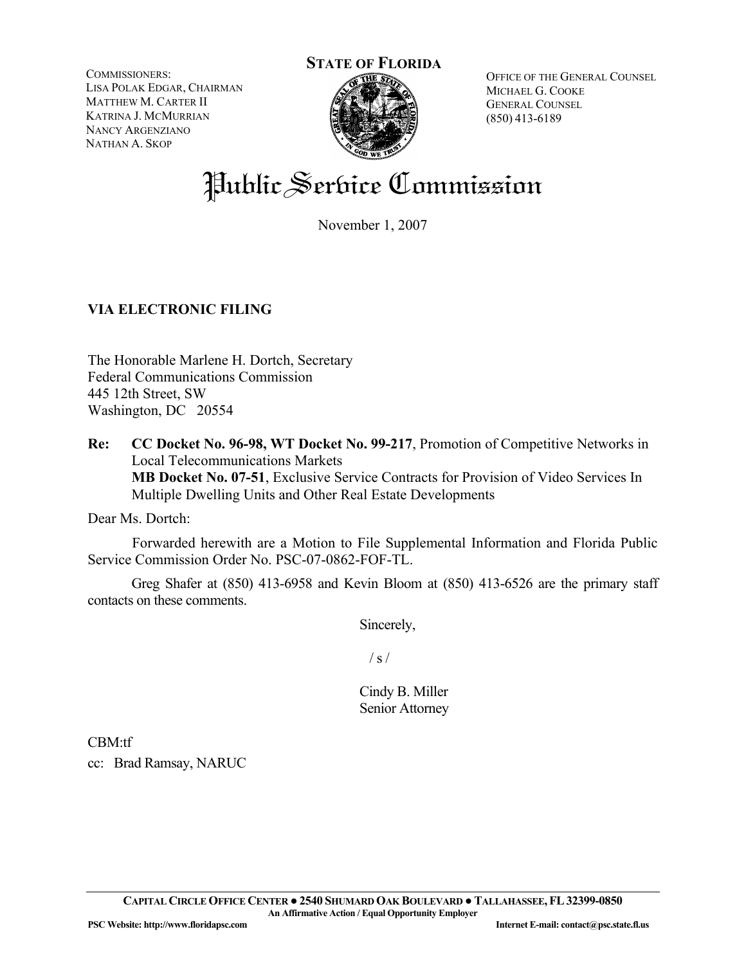COMMISSIONERS: LISA POLAK EDGAR, CHAIRMAN MATTHEW M. CARTER II KATRINA J. MCMURRIAN NANCY ARGENZIANO NATHAN A. SKOP



OFFICE OF THE GENERAL COUNSEL MICHAEL G. COOKE GENERAL COUNSEL (850) 413-6189

# Public Service Commission

November 1, 2007

# **VIA ELECTRONIC FILING**

The Honorable Marlene H. Dortch, Secretary Federal Communications Commission 445 12th Street, SW Washington, DC 20554

**Re: CC Docket No. 96-98, WT Docket No. 99-217**, Promotion of Competitive Networks in Local Telecommunications Markets  **MB Docket No. 07-51**, Exclusive Service Contracts for Provision of Video Services In Multiple Dwelling Units and Other Real Estate Developments

Dear Ms. Dortch:

 Forwarded herewith are a Motion to File Supplemental Information and Florida Public Service Commission Order No. PSC-07-0862-FOF-TL.

Greg Shafer at (850) 413-6958 and Kevin Bloom at (850) 413-6526 are the primary staff contacts on these comments.

Sincerely,

 $/ s /$ 

Cindy B. Miller Senior Attorney

CBM:tf

cc: Brad Ramsay, NARUC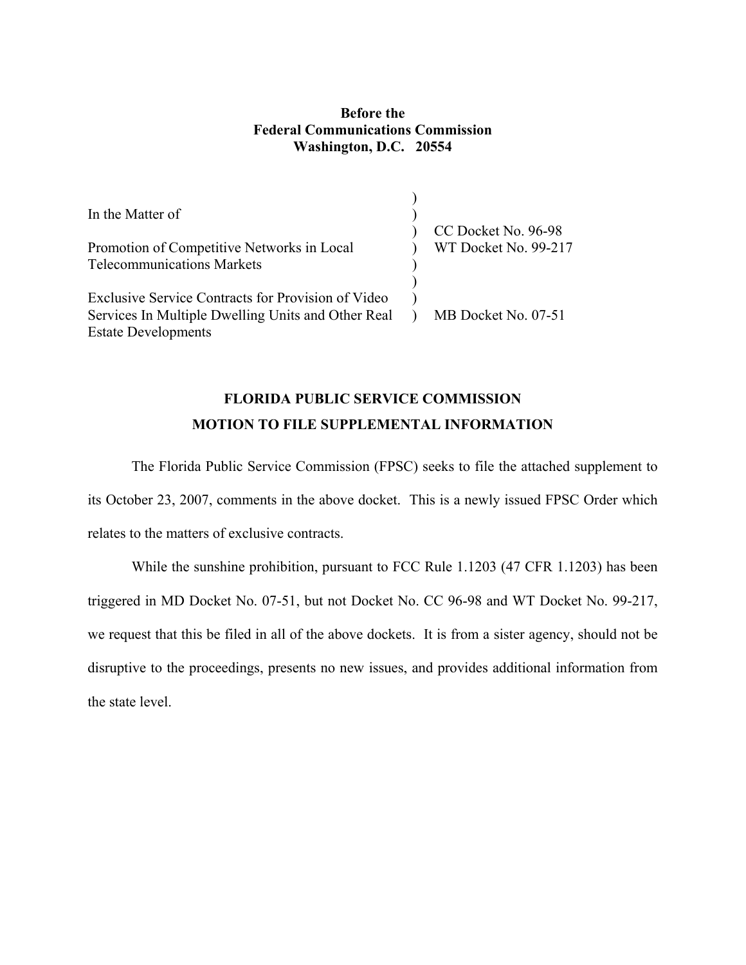## **Before the Federal Communications Commission Washington, D.C. 20554**

 $\ddot{\phantom{1}}$ 

| In the Matter of                                   |                                             |
|----------------------------------------------------|---------------------------------------------|
| Promotion of Competitive Networks in Local         | CC Docket No. 96-98<br>WT Docket No. 99-217 |
| <b>Telecommunications Markets</b>                  |                                             |
| Exclusive Service Contracts for Provision of Video |                                             |
| Services In Multiple Dwelling Units and Other Real | MB Docket No. 07-51                         |
| <b>Estate Developments</b>                         |                                             |

# **FLORIDA PUBLIC SERVICE COMMISSION MOTION TO FILE SUPPLEMENTAL INFORMATION**

The Florida Public Service Commission (FPSC) seeks to file the attached supplement to its October 23, 2007, comments in the above docket. This is a newly issued FPSC Order which relates to the matters of exclusive contracts.

While the sunshine prohibition, pursuant to FCC Rule 1.1203 (47 CFR 1.1203) has been triggered in MD Docket No. 07-51, but not Docket No. CC 96-98 and WT Docket No. 99-217, we request that this be filed in all of the above dockets. It is from a sister agency, should not be disruptive to the proceedings, presents no new issues, and provides additional information from the state level.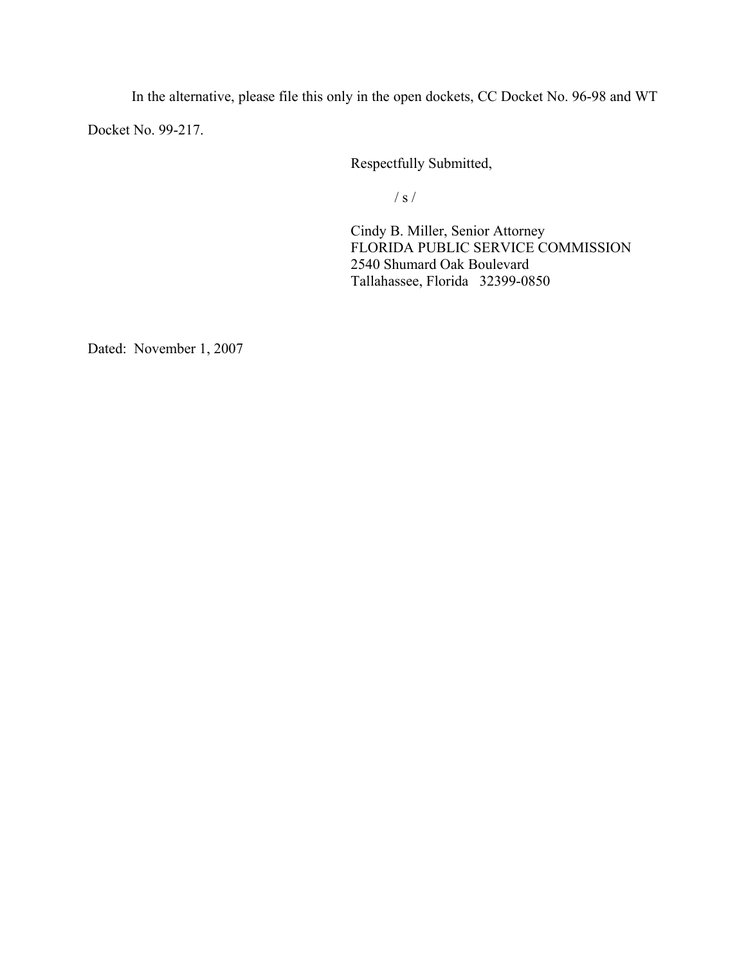In the alternative, please file this only in the open dockets, CC Docket No. 96-98 and WT Docket No. 99-217.

Respectfully Submitted,

 $\frac{1}{s}$  /

 Cindy B. Miller, Senior Attorney FLORIDA PUBLIC SERVICE COMMISSION 2540 Shumard Oak Boulevard Tallahassee, Florida 32399-0850

Dated: November 1, 2007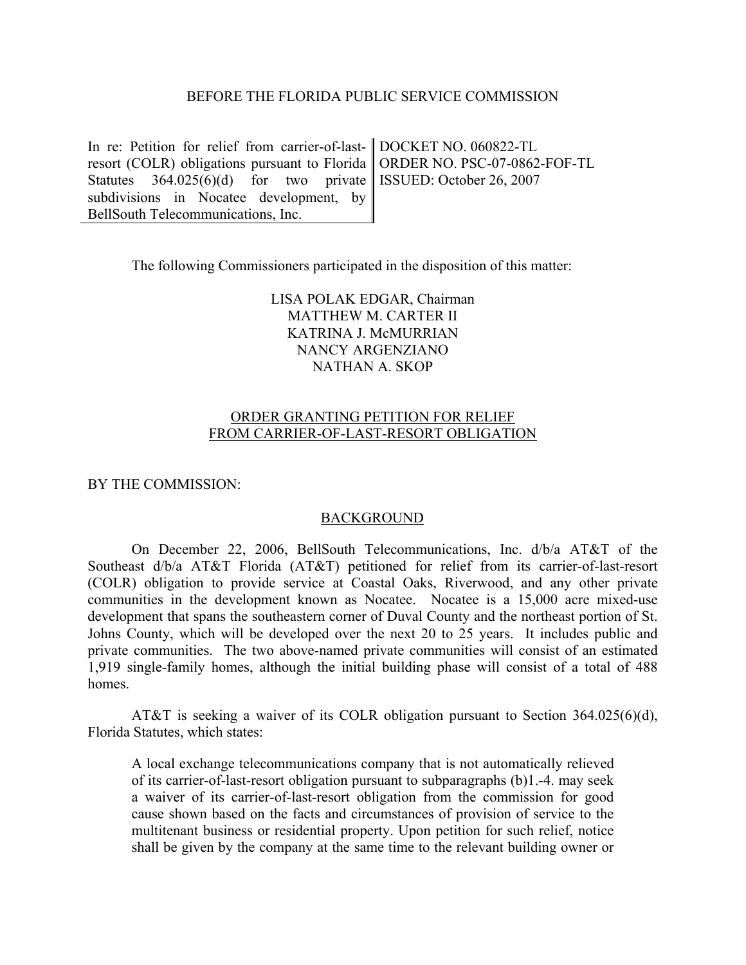#### BEFORE THE FLORIDA PUBLIC SERVICE COMMISSION

In re: Petition for relief from carrier-of-lastresort (COLR) obligations pursuant to Florida Statutes  $364.025(6)(d)$  for two private subdivisions in Nocatee development, by BellSouth Telecommunications, Inc.

DOCKET NO. 060822-TL ORDER NO. PSC-07-0862-FOF-TL ISSUED: October 26, 2007

The following Commissioners participated in the disposition of this matter:

LISA POLAK EDGAR, Chairman MATTHEW M. CARTER II KATRINA J. McMURRIAN NANCY ARGENZIANO NATHAN A. SKOP

### ORDER GRANTING PETITION FOR RELIEF FROM CARRIER-OF-LAST-RESORT OBLIGATION

BY THE COMMISSION:

#### **BACKGROUND**

On December 22, 2006, BellSouth Telecommunications, Inc. d/b/a AT&T of the Southeast d/b/a AT&T Florida (AT&T) petitioned for relief from its carrier-of-last-resort (COLR) obligation to provide service at Coastal Oaks, Riverwood, and any other private communities in the development known as Nocatee. Nocatee is a 15,000 acre mixed-use development that spans the southeastern corner of Duval County and the northeast portion of St. Johns County, which will be developed over the next 20 to 25 years. It includes public and private communities. The two above-named private communities will consist of an estimated 1,919 single-family homes, although the initial building phase will consist of a total of 488 homes.

AT&T is seeking a waiver of its COLR obligation pursuant to Section 364.025(6)(d), Florida Statutes, which states:

A local exchange telecommunications company that is not automatically relieved of its carrier-of-last-resort obligation pursuant to subparagraphs (b)1.-4. may seek a waiver of its carrier-of-last-resort obligation from the commission for good cause shown based on the facts and circumstances of provision of service to the multitenant business or residential property. Upon petition for such relief, notice shall be given by the company at the same time to the relevant building owner or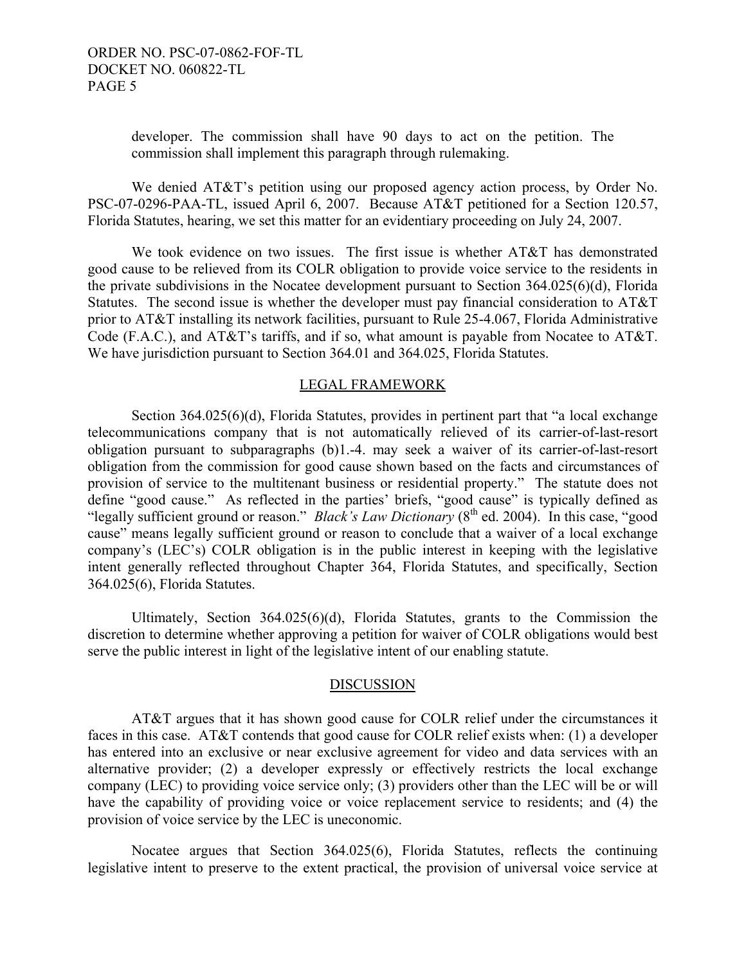developer. The commission shall have 90 days to act on the petition. The commission shall implement this paragraph through rulemaking.

We denied AT&T's petition using our proposed agency action process, by Order No. PSC-07-0296-PAA-TL, issued April 6, 2007. Because AT&T petitioned for a Section 120.57, Florida Statutes, hearing, we set this matter for an evidentiary proceeding on July 24, 2007.

We took evidence on two issues. The first issue is whether AT&T has demonstrated good cause to be relieved from its COLR obligation to provide voice service to the residents in the private subdivisions in the Nocatee development pursuant to Section 364.025(6)(d), Florida Statutes. The second issue is whether the developer must pay financial consideration to AT&T prior to AT&T installing its network facilities, pursuant to Rule 25-4.067, Florida Administrative Code (F.A.C.), and AT&T's tariffs, and if so, what amount is payable from Nocatee to AT&T. We have jurisdiction pursuant to Section 364.01 and 364.025, Florida Statutes.

#### LEGAL FRAMEWORK

 Section 364.025(6)(d), Florida Statutes, provides in pertinent part that "a local exchange telecommunications company that is not automatically relieved of its carrier-of-last-resort obligation pursuant to subparagraphs (b)1.-4. may seek a waiver of its carrier-of-last-resort obligation from the commission for good cause shown based on the facts and circumstances of provision of service to the multitenant business or residential property." The statute does not define "good cause." As reflected in the parties' briefs, "good cause" is typically defined as "legally sufficient ground or reason." *Black's Law Dictionary* (8<sup>th</sup> ed. 2004). In this case, "good cause" means legally sufficient ground or reason to conclude that a waiver of a local exchange company's (LEC's) COLR obligation is in the public interest in keeping with the legislative intent generally reflected throughout Chapter 364, Florida Statutes, and specifically, Section 364.025(6), Florida Statutes.

Ultimately, Section 364.025(6)(d), Florida Statutes, grants to the Commission the discretion to determine whether approving a petition for waiver of COLR obligations would best serve the public interest in light of the legislative intent of our enabling statute.

#### DISCUSSION

AT&T argues that it has shown good cause for COLR relief under the circumstances it faces in this case. AT&T contends that good cause for COLR relief exists when: (1) a developer has entered into an exclusive or near exclusive agreement for video and data services with an alternative provider; (2) a developer expressly or effectively restricts the local exchange company (LEC) to providing voice service only; (3) providers other than the LEC will be or will have the capability of providing voice or voice replacement service to residents; and (4) the provision of voice service by the LEC is uneconomic.

Nocatee argues that Section 364.025(6), Florida Statutes, reflects the continuing legislative intent to preserve to the extent practical, the provision of universal voice service at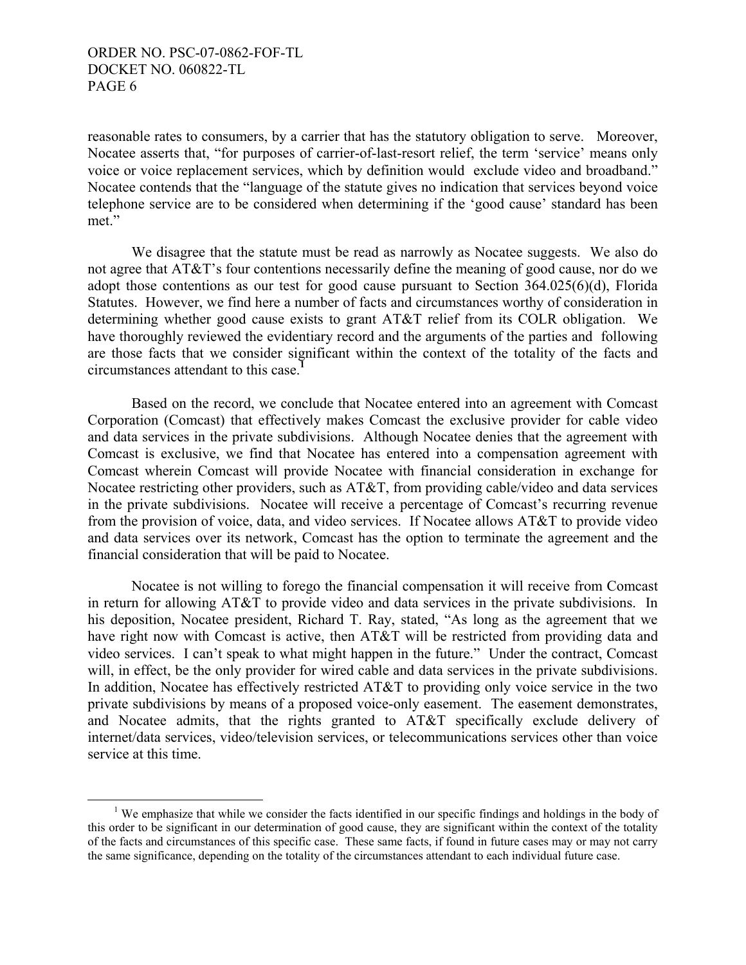reasonable rates to consumers, by a carrier that has the statutory obligation to serve. Moreover, Nocatee asserts that, "for purposes of carrier-of-last-resort relief, the term 'service' means only voice or voice replacement services, which by definition would exclude video and broadband." Nocatee contends that the "language of the statute gives no indication that services beyond voice telephone service are to be considered when determining if the 'good cause' standard has been met."

 We disagree that the statute must be read as narrowly as Nocatee suggests. We also do not agree that AT&T's four contentions necessarily define the meaning of good cause, nor do we adopt those contentions as our test for good cause pursuant to Section 364.025(6)(d), Florida Statutes. However, we find here a number of facts and circumstances worthy of consideration in determining whether good cause exists to grant AT&T relief from its COLR obligation. We have thoroughly reviewed the evidentiary record and the arguments of the parties and following are those facts that we consider significant within the context of the totality of the facts and circumstances attendant to this case.**<sup>1</sup>**

 Based on the record, we conclude that Nocatee entered into an agreement with Comcast Corporation (Comcast) that effectively makes Comcast the exclusive provider for cable video and data services in the private subdivisions. Although Nocatee denies that the agreement with Comcast is exclusive, we find that Nocatee has entered into a compensation agreement with Comcast wherein Comcast will provide Nocatee with financial consideration in exchange for Nocatee restricting other providers, such as AT&T, from providing cable/video and data services in the private subdivisions. Nocatee will receive a percentage of Comcast's recurring revenue from the provision of voice, data, and video services. If Nocatee allows AT&T to provide video and data services over its network, Comcast has the option to terminate the agreement and the financial consideration that will be paid to Nocatee.

 Nocatee is not willing to forego the financial compensation it will receive from Comcast in return for allowing AT&T to provide video and data services in the private subdivisions. In his deposition, Nocatee president, Richard T. Ray, stated, "As long as the agreement that we have right now with Comcast is active, then AT&T will be restricted from providing data and video services. I can't speak to what might happen in the future." Under the contract, Comcast will, in effect, be the only provider for wired cable and data services in the private subdivisions. In addition, Nocatee has effectively restricted AT&T to providing only voice service in the two private subdivisions by means of a proposed voice-only easement. The easement demonstrates, and Nocatee admits, that the rights granted to AT&T specifically exclude delivery of internet/data services, video/television services, or telecommunications services other than voice service at this time.

 <sup>1</sup> <sup>1</sup> We emphasize that while we consider the facts identified in our specific findings and holdings in the body of this order to be significant in our determination of good cause, they are significant within the context of the totality of the facts and circumstances of this specific case. These same facts, if found in future cases may or may not carry the same significance, depending on the totality of the circumstances attendant to each individual future case.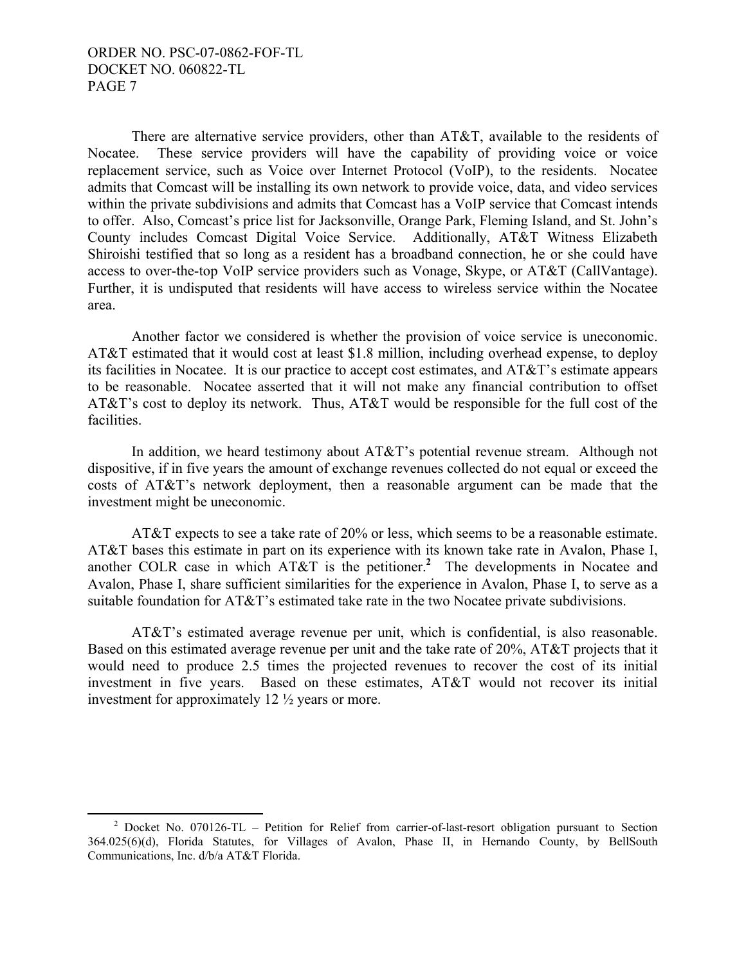There are alternative service providers, other than AT&T, available to the residents of Nocatee. These service providers will have the capability of providing voice or voice replacement service, such as Voice over Internet Protocol (VoIP), to the residents. Nocatee admits that Comcast will be installing its own network to provide voice, data, and video services within the private subdivisions and admits that Comcast has a VoIP service that Comcast intends to offer. Also, Comcast's price list for Jacksonville, Orange Park, Fleming Island, and St. John's County includes Comcast Digital Voice Service. Additionally, AT&T Witness Elizabeth Shiroishi testified that so long as a resident has a broadband connection, he or she could have access to over-the-top VoIP service providers such as Vonage, Skype, or AT&T (CallVantage). Further, it is undisputed that residents will have access to wireless service within the Nocatee area.

Another factor we considered is whether the provision of voice service is uneconomic. AT&T estimated that it would cost at least \$1.8 million, including overhead expense, to deploy its facilities in Nocatee. It is our practice to accept cost estimates, and AT&T's estimate appears to be reasonable. Nocatee asserted that it will not make any financial contribution to offset AT&T's cost to deploy its network. Thus, AT&T would be responsible for the full cost of the facilities.

In addition, we heard testimony about AT&T's potential revenue stream. Although not dispositive, if in five years the amount of exchange revenues collected do not equal or exceed the costs of AT&T's network deployment, then a reasonable argument can be made that the investment might be uneconomic.

AT&T expects to see a take rate of 20% or less, which seems to be a reasonable estimate. AT&T bases this estimate in part on its experience with its known take rate in Avalon, Phase I, another COLR case in which AT&T is the petitioner.**<sup>2</sup>** The developments in Nocatee and Avalon, Phase I, share sufficient similarities for the experience in Avalon, Phase I, to serve as a suitable foundation for AT&T's estimated take rate in the two Nocatee private subdivisions.

 AT&T's estimated average revenue per unit, which is confidential, is also reasonable. Based on this estimated average revenue per unit and the take rate of 20%, AT&T projects that it would need to produce 2.5 times the projected revenues to recover the cost of its initial investment in five years. Based on these estimates, AT&T would not recover its initial investment for approximately 12 ½ years or more.

 $\frac{1}{2}$ <sup>2</sup> Docket No. 070126-TL – Petition for Relief from carrier-of-last-resort obligation pursuant to Section 364.025(6)(d), Florida Statutes, for Villages of Avalon, Phase II, in Hernando County, by BellSouth Communications, Inc. d/b/a AT&T Florida.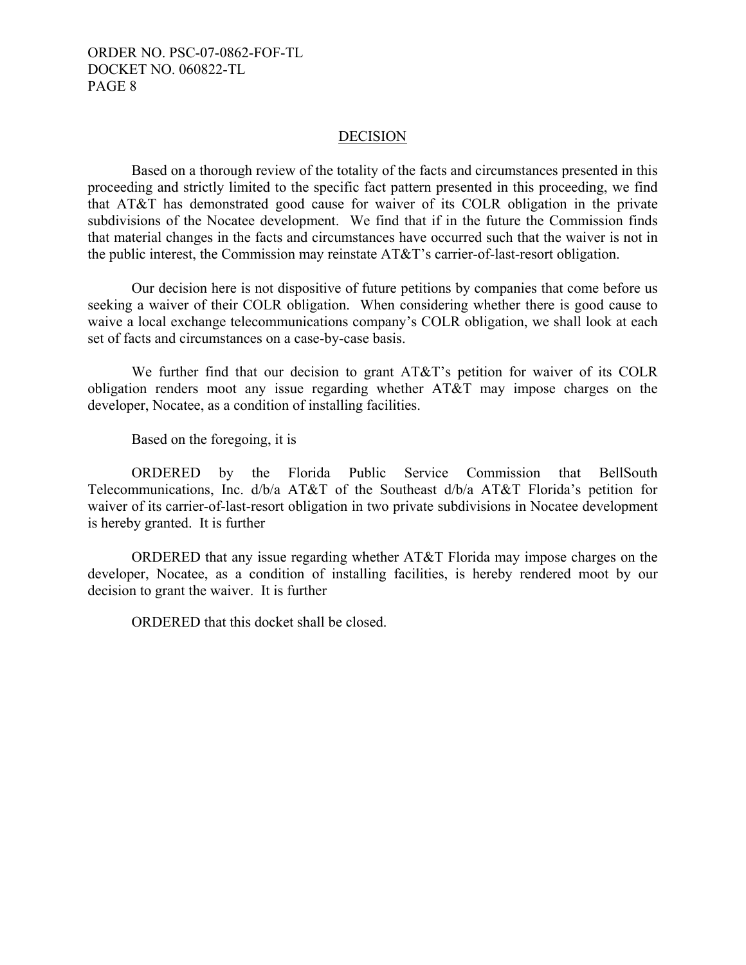#### DECISION

 Based on a thorough review of the totality of the facts and circumstances presented in this proceeding and strictly limited to the specific fact pattern presented in this proceeding, we find that AT&T has demonstrated good cause for waiver of its COLR obligation in the private subdivisions of the Nocatee development. We find that if in the future the Commission finds that material changes in the facts and circumstances have occurred such that the waiver is not in the public interest, the Commission may reinstate AT&T's carrier-of-last-resort obligation.

 Our decision here is not dispositive of future petitions by companies that come before us seeking a waiver of their COLR obligation. When considering whether there is good cause to waive a local exchange telecommunications company's COLR obligation, we shall look at each set of facts and circumstances on a case-by-case basis.

We further find that our decision to grant AT&T's petition for waiver of its COLR obligation renders moot any issue regarding whether AT&T may impose charges on the developer, Nocatee, as a condition of installing facilities.

Based on the foregoing, it is

 ORDERED by the Florida Public Service Commission that BellSouth Telecommunications, Inc. d/b/a AT&T of the Southeast d/b/a AT&T Florida's petition for waiver of its carrier-of-last-resort obligation in two private subdivisions in Nocatee development is hereby granted. It is further

 ORDERED that any issue regarding whether AT&T Florida may impose charges on the developer, Nocatee, as a condition of installing facilities, is hereby rendered moot by our decision to grant the waiver. It is further

ORDERED that this docket shall be closed.